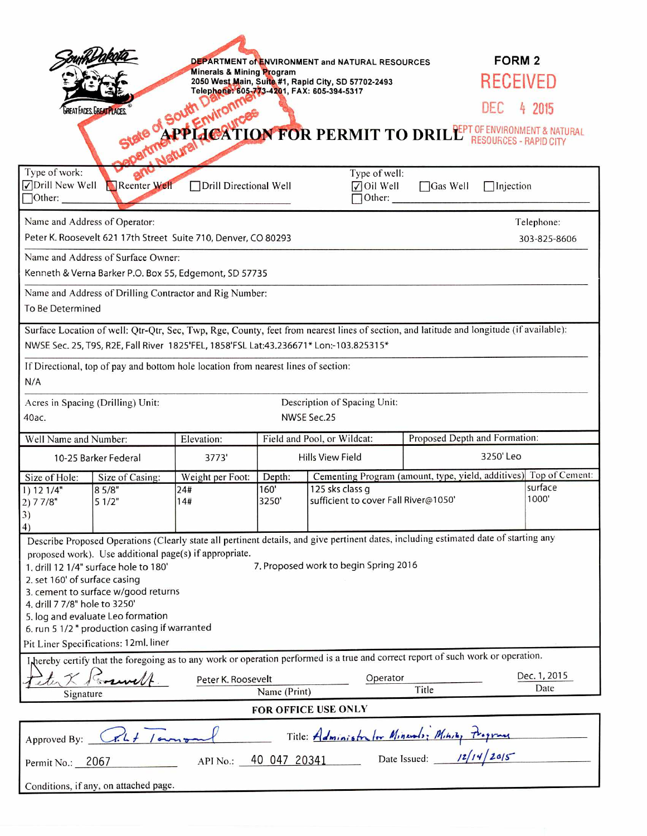|                                                                                                                                                                                                       |                                                                                                                                       | DEPARTMENT of ENVIRONMENT and NATURAL RESOURCES                                             |                             |                                                                             |                               | <b>FORM 2</b>        |  |
|-------------------------------------------------------------------------------------------------------------------------------------------------------------------------------------------------------|---------------------------------------------------------------------------------------------------------------------------------------|---------------------------------------------------------------------------------------------|-----------------------------|-----------------------------------------------------------------------------|-------------------------------|----------------------|--|
|                                                                                                                                                                                                       |                                                                                                                                       | <b>Minerals &amp; Mining Program</b><br>2050 West Main, Suite #1, Rapid City, SD 57702-2493 |                             |                                                                             |                               | RECEIVED             |  |
| Telephone: 605-773-4201, FAX: 605-394-5317<br>GREAT FACES, GREAT PLACES                                                                                                                               |                                                                                                                                       |                                                                                             |                             |                                                                             |                               |                      |  |
|                                                                                                                                                                                                       | of South                                                                                                                              |                                                                                             |                             |                                                                             |                               |                      |  |
| South Drives DEC 4 2015<br>APPLICATION FOR PERMIT TO DRILLE RESOURCES - RAPID CITY<br><b>RESOURCES - RAPID CITY</b>                                                                                   |                                                                                                                                       |                                                                                             |                             |                                                                             |                               |                      |  |
|                                                                                                                                                                                                       |                                                                                                                                       |                                                                                             |                             |                                                                             |                               |                      |  |
| Type of work:<br>Type of well:<br><b>√Drill New Well</b><br>Reenter Well<br>Drill Directional Well<br>$\sqrt{\frac{1}{1}}$ Oil Well<br>$\Box$ Gas Well<br>$\Box$ Injection<br>Other:<br>$\Box$ Other: |                                                                                                                                       |                                                                                             |                             |                                                                             |                               |                      |  |
| Name and Address of Operator:                                                                                                                                                                         |                                                                                                                                       |                                                                                             |                             |                                                                             |                               | Telephone:           |  |
| Peter K. Roosevelt 621 17th Street Suite 710, Denver, CO 80293                                                                                                                                        |                                                                                                                                       |                                                                                             |                             |                                                                             |                               | 303-825-8606         |  |
| Name and Address of Surface Owner:                                                                                                                                                                    |                                                                                                                                       |                                                                                             |                             |                                                                             |                               |                      |  |
| Kenneth & Verna Barker P.O. Box 55, Edgemont, SD 57735                                                                                                                                                |                                                                                                                                       |                                                                                             |                             |                                                                             |                               |                      |  |
| Name and Address of Drilling Contractor and Rig Number:                                                                                                                                               |                                                                                                                                       |                                                                                             |                             |                                                                             |                               |                      |  |
| To Be Determined                                                                                                                                                                                      |                                                                                                                                       |                                                                                             |                             |                                                                             |                               |                      |  |
| Surface Location of well: Qtr-Qtr, Sec, Twp, Rge, County, feet from nearest lines of section, and latitude and longitude (if available):                                                              |                                                                                                                                       |                                                                                             |                             |                                                                             |                               |                      |  |
| NWSE Sec. 25, T9S, R2E, Fall River 1825'FEL, 1858'FSL Lat:43.236671* Lon:-103.825315*                                                                                                                 |                                                                                                                                       |                                                                                             |                             |                                                                             |                               |                      |  |
| If Directional, top of pay and bottom hole location from nearest lines of section:<br>N/A                                                                                                             |                                                                                                                                       |                                                                                             |                             |                                                                             |                               |                      |  |
| Description of Spacing Unit:<br>Acres in Spacing (Drilling) Unit:                                                                                                                                     |                                                                                                                                       |                                                                                             |                             |                                                                             |                               |                      |  |
| NWSE Sec.25<br>40ас.                                                                                                                                                                                  |                                                                                                                                       |                                                                                             |                             |                                                                             |                               |                      |  |
| Well Name and Number:                                                                                                                                                                                 |                                                                                                                                       | Elevation:                                                                                  | Field and Pool, or Wildcat: |                                                                             | Proposed Depth and Formation: |                      |  |
| 10-25 Barker Federal                                                                                                                                                                                  |                                                                                                                                       | 3773'                                                                                       | <b>Hills View Field</b>     |                                                                             | 3250'Leo                      |                      |  |
| Size of Hole:<br>Size of Casing:                                                                                                                                                                      |                                                                                                                                       | Weight per Foot:                                                                            | Depth:                      | Cementing Program (amount, type, yield, additives) Top of Cement:           |                               |                      |  |
| 1) 12 1/4"<br>2) 7 7/8"                                                                                                                                                                               | 85/8"<br>51/2"                                                                                                                        | 24#<br>14#                                                                                  | 160'<br>3250'               | surface<br>125 sks class g<br>1000'<br>sufficient to cover Fall River@1050' |                               |                      |  |
| 3)                                                                                                                                                                                                    |                                                                                                                                       |                                                                                             |                             |                                                                             |                               |                      |  |
| 4)                                                                                                                                                                                                    | Describe Proposed Operations (Clearly state all pertinent details, and give pertinent dates, including estimated date of starting any |                                                                                             |                             |                                                                             |                               |                      |  |
| proposed work). Use additional page(s) if appropriate.                                                                                                                                                |                                                                                                                                       |                                                                                             |                             |                                                                             |                               |                      |  |
| 7. Proposed work to begin Spring 2016<br>1. drill 12 1/4" surface hole to 180'<br>2. set 160' of surface casing                                                                                       |                                                                                                                                       |                                                                                             |                             |                                                                             |                               |                      |  |
| 3. cement to surface w/good returns                                                                                                                                                                   |                                                                                                                                       |                                                                                             |                             |                                                                             |                               |                      |  |
| 4. drill 7 7/8" hole to 3250'                                                                                                                                                                         |                                                                                                                                       |                                                                                             |                             |                                                                             |                               |                      |  |
| 5. log and evaluate Leo formation<br>6. run 5 1/2 " production casing if warranted                                                                                                                    |                                                                                                                                       |                                                                                             |                             |                                                                             |                               |                      |  |
| Pit Liner Specifications: 12ml. liner                                                                                                                                                                 |                                                                                                                                       |                                                                                             |                             |                                                                             |                               |                      |  |
| I hereby certify that the foregoing as to any work or operation performed is a true and correct report of such work or operation.                                                                     |                                                                                                                                       |                                                                                             |                             |                                                                             |                               |                      |  |
|                                                                                                                                                                                                       |                                                                                                                                       | Peter K. Roosevelt                                                                          |                             | Operator                                                                    |                               | Dec. 1, 2015<br>Date |  |
| Title<br>Name (Print)<br>Signature                                                                                                                                                                    |                                                                                                                                       |                                                                                             |                             |                                                                             |                               |                      |  |
| FOR OFFICE USE ONLY                                                                                                                                                                                   |                                                                                                                                       |                                                                                             |                             |                                                                             |                               |                      |  |
| Title: Administrator Minerals: Minity the<br>Approved By: CRL / own<br>Date Issued: $12/14/20/5$                                                                                                      |                                                                                                                                       |                                                                                             |                             |                                                                             |                               |                      |  |
| API No.: 40 047 20341<br>Permit No.: 2067                                                                                                                                                             |                                                                                                                                       |                                                                                             |                             |                                                                             |                               |                      |  |
| Conditions, if any, on attached page.                                                                                                                                                                 |                                                                                                                                       |                                                                                             |                             |                                                                             |                               |                      |  |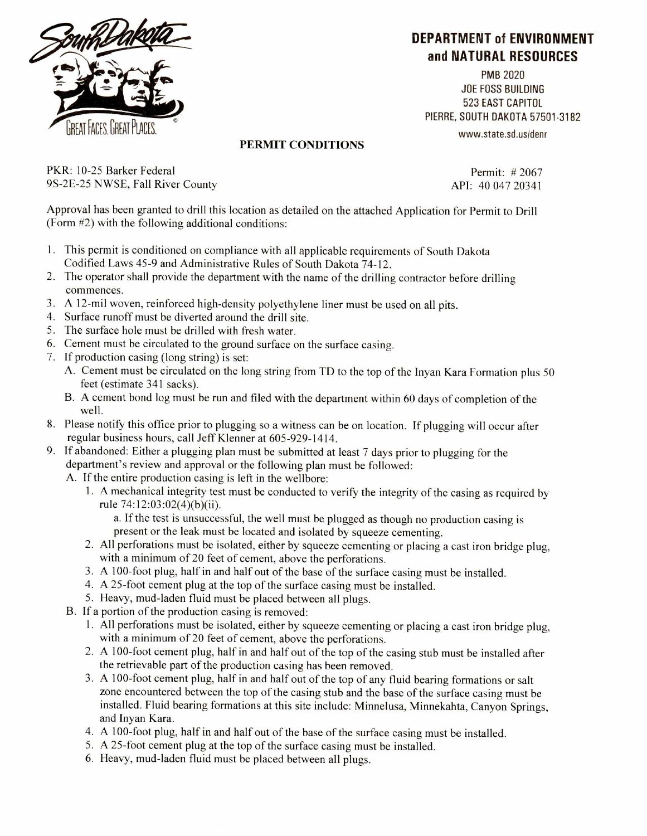

## **DEPARTMENT of ENVIRONMENT and NATURAL RESOURCES**

PMB 2020 JOE FOSS BUILDING 523 EAST CAPITOL PIERRE, SOUTH DAKOTA 57501-3182 www.state.sd.us/denr

## PERMIT CONDITIONS

PKR: 10-25 Barker Federal 9S-2E-25 NWSE, Fall River County

Permit: # 2067 API: 40 047 20341

Approval has been granted to drill this location as detailed on the attached Application for Permit to Drill (Form #2) with the following additional conditions:

- 1. This permit is conditioned on compliance with all applicable requirements of South Dakota Codified Laws 45-9 and Administrative Rules of South Dakota 74-12.
- 2. The operator shall provide the department with the name of the drilling contractor before drilling commences.
- 3. A 12-mil woven, reinforced high-density polyethylene liner must be used on all pits.
- 4. Surface runoff must be diverted around the drill site.
- 5. The surface hole must be drilled with fresh water.
- 6. Cement must be circulated to the ground surface on the surface casing.
- 7. If production casing (long string) is set:
	- A. Cement must be circulated on the long string from TD to the top of the Inyan Kara Formation plus 50 feet (estimate 341 sacks).
	- B. A cement bond log must be run and filed with the department within 60 days of completion of the well.
- 8. Please notify this office prior to plugging so a witness can be on location. If plugging will occur after regular business hours, call Jeff Klenner at 605-929-1414.
- 9. If abandoned: Either a plugging plan must be submitted at least 7 days prior to plugging for the department's review and approval or the following plan must be followed:
	- A. If the entire production casing is left in the wellbore:
		- 1. A mechanical integrity test must be conducted to verify the integrity of the casing as required by rule 74:12:03:02(4)(b)(ii).

a. If the test is unsuccessful, the well must be plugged as though no production casing is present or the leak must be located and isolated by squeeze cementing.

- 2. All perforations must be isolated, either by squeeze cementing or placing a cast iron bridge plug, with a minimum of 20 feet of cement, above the perforations.
- 3. A 100-foot plug, half in and half out of the base of the surface casing must be installed.
- 4. A 25-foot cement plug at the top of the surface casing must be installed.
- 5. Heavy, mud-laden fluid must be placed between all plugs.
- B. If a portion of the production casing is removed:
	- 1. All perforations must be isolated, either by squeeze cementing or placing a cast iron bridge plug, with a minimum of 20 feet of cement, above the perforations.
	- 2. A 100-foot cement plug, half in and half out of the top of the casing stub must be installed after the retrievable part of the production casing has been removed.
	- 3. A 100-foot cement plug, half in and half out of the top of any fluid bearing formations or salt zone encountered between the top of the casing stub and the base of the surface casing must be installed. Fluid bearing formations at this site include: Minnelusa, Minnekahta, Canyon Springs, and Inyan Kara.
	- 4. A 100-foot plug, half in and half out of the base of the surface casing must be installed.
	- 5. A 25-foot cement plug at the top of the surface casing must be installed.
	- 6. Heavy, mud-laden fluid must be placed between all plugs.